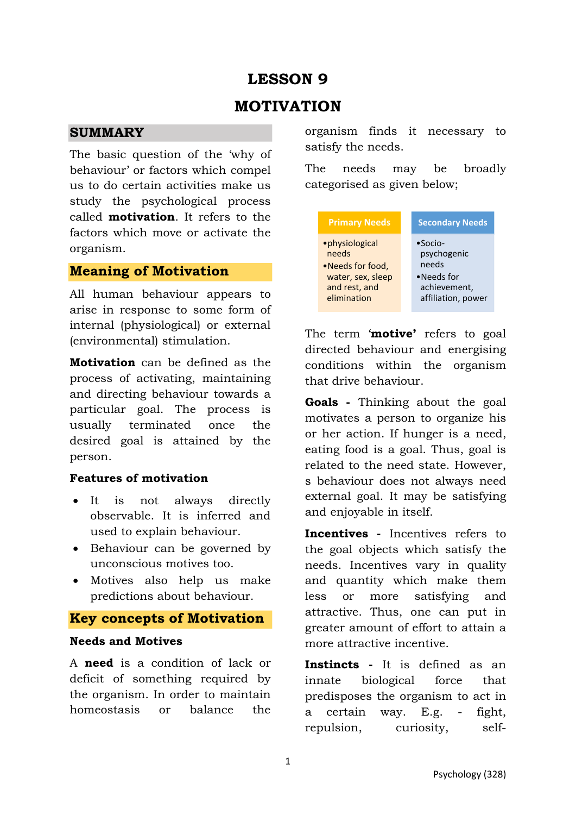# **LESSON 9**

# **MOTIVATION**

### **SUMMARY**

The basic question of the 'why of behaviour' or factors which compel us to do certain activities make us study the psychological process called **motivation**. It refers to the factors which move or activate the organism.

### **Meaning of Motivation**

All human behaviour appears to arise in response to some form of internal (physiological) or external (environmental) stimulation.

**Motivation** can be defined as the process of activating, maintaining and directing behaviour towards a particular goal. The process is usually terminated once the desired goal is attained by the person.

#### **Features of motivation**

- It is not always directly observable. It is inferred and used to explain behaviour.
- Behaviour can be governed by unconscious motives too.
- Motives also help us make predictions about behaviour.

## **Key concepts of Motivation**

## **Needs and Motives**

A **need** is a condition of lack or deficit of something required by the organism. In order to maintain homeostasis or balance the

organism finds it necessary to satisfy the needs.

The needs may be broadly categorised as given below;



The term '**motive'** refers to goal directed behaviour and energising conditions within the organism that drive behaviour.

**Goals -** Thinking about the goal motivates a person to organize his or her action. If hunger is a need, eating food is a goal. Thus, goal is related to the need state. However, s behaviour does not always need external goal. It may be satisfying and enjoyable in itself.

**Incentives -** Incentives refers to the goal objects which satisfy the needs. Incentives vary in quality and quantity which make them less or more satisfying and attractive. Thus, one can put in greater amount of effort to attain a more attractive incentive.

**Instincts -** It is defined as an innate biological force that predisposes the organism to act in a certain way. E.g. - fight, repulsion, curiosity, self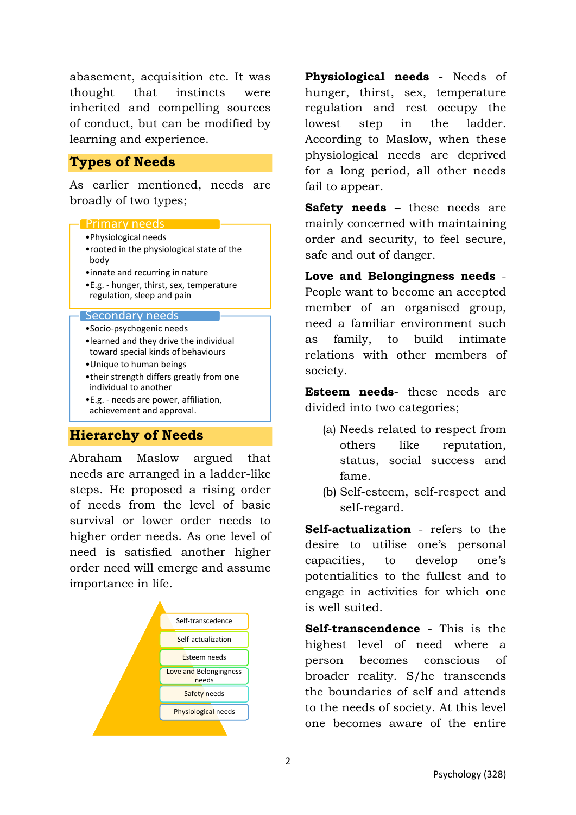abasement, acquisition etc. It was thought that instincts were inherited and compelling sources of conduct, but can be modified by learning and experience.

## **Types of Needs**

As earlier mentioned, needs are broadly of two types;

#### Primary needs

- •Physiological needs
- •rooted in the physiological state of the body
- •innate and recurring in nature
- •E.g. hunger, thirst, sex, temperature regulation, sleep and pain

#### Secondary needs

- •Socio-psychogenic needs
- •learned and they drive the individual toward special kinds of behaviours
- •Unique to human beings
- •their strength differs greatly from one individual to another
- •E.g. needs are power, affiliation, achievement and approval.

## **Hierarchy of Needs**

Abraham Maslow argued that needs are arranged in a ladder-like steps. He proposed a rising order of needs from the level of basic survival or lower order needs to higher order needs. As one level of need is satisfied another higher order need will emerge and assume importance in life.



**Physiological needs** - Needs of hunger, thirst, sex, temperature regulation and rest occupy the lowest step in the ladder. According to Maslow, when these physiological needs are deprived for a long period, all other needs fail to appear.

**Safety needs** – these needs are mainly concerned with maintaining order and security, to feel secure, safe and out of danger.

**Love and Belongingness needs** - People want to become an accepted member of an organised group, need a familiar environment such as family, to build intimate relations with other members of society.

**Esteem needs**- these needs are divided into two categories;

- (a) Needs related to respect from others like reputation, status, social success and fame.
- (b) Self-esteem, self-respect and self-regard.

**Self-actualization** - refers to the desire to utilise one's personal capacities, to develop one's potentialities to the fullest and to engage in activities for which one is well suited.

**Self-transcendence** - This is the highest level of need where a person becomes conscious of broader reality. S/he transcends the boundaries of self and attends to the needs of society. At this level one becomes aware of the entire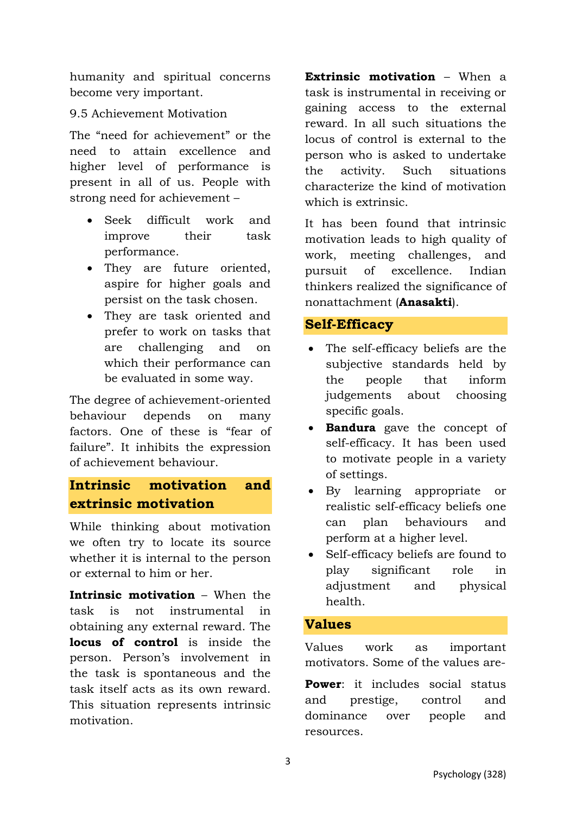humanity and spiritual concerns become very important.

## 9.5 Achievement Motivation

The "need for achievement" or the need to attain excellence and higher level of performance is present in all of us. People with strong need for achievement –

- Seek difficult work and improve their task performance.
- They are future oriented, aspire for higher goals and persist on the task chosen.
- They are task oriented and prefer to work on tasks that are challenging and on which their performance can be evaluated in some way.

The degree of achievement-oriented behaviour depends on many factors. One of these is "fear of failure". It inhibits the expression of achievement behaviour.

# **Intrinsic motivation and extrinsic motivation**

While thinking about motivation we often try to locate its source whether it is internal to the person or external to him or her.

**Intrinsic motivation** – When the task is not instrumental in obtaining any external reward. The **locus of control** is inside the person. Person's involvement in the task is spontaneous and the task itself acts as its own reward. This situation represents intrinsic motivation.

**Extrinsic motivation** – When a task is instrumental in receiving or gaining access to the external reward. In all such situations the locus of control is external to the person who is asked to undertake the activity. Such situations characterize the kind of motivation which is extrinsic.

It has been found that intrinsic motivation leads to high quality of work, meeting challenges, and pursuit of excellence. Indian thinkers realized the significance of nonattachment (**Anasakti**).

## **Self-Efficacy**

- The self-efficacy beliefs are the subjective standards held by the people that inform judgements about choosing specific goals.
- **Bandura** gave the concept of self-efficacy. It has been used to motivate people in a variety of settings.
- By learning appropriate or realistic self-efficacy beliefs one can plan behaviours and perform at a higher level.
- Self-efficacy beliefs are found to play significant role in adjustment and physical health.

## **Values**

Values work as important motivators. Some of the values are-

**Power**: it includes social status and prestige, control and dominance over people and resources.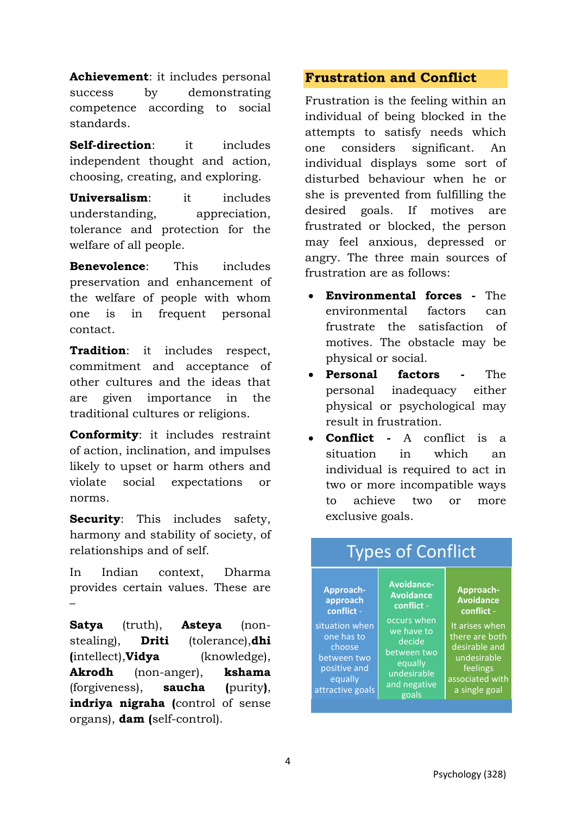**Achievement**: it includes personal success by demonstrating competence according to social standards.

**Self-direction**: it includes independent thought and action, choosing, creating, and exploring.

**Universalism**: it includes understanding, appreciation, tolerance and protection for the welfare of all people.

**Benevolence**: This includes preservation and enhancement of the welfare of people with whom one is in frequent personal contact.

**Tradition**: it includes respect, commitment and acceptance of other cultures and the ideas that are given importance in the traditional cultures or religions.

**Conformity**: it includes restraint of action, inclination, and impulses likely to upset or harm others and violate social expectations or norms.

**Security:** This includes safety, harmony and stability of society, of relationships and of self.

In Indian context, Dharma provides certain values. These are –

**Satya** (truth), **Asteya** (nonstealing), **Driti** (tolerance),**dhi (**intellect),**Vidya** (knowledge), **Akrodh** (non-anger), **kshama** (forgiveness), **saucha (**purity**)**, **indriya nigraha (**control of sense organs), **dam (**self-control).

## **Frustration and Conflict**

Frustration is the feeling within an individual of being blocked in the attempts to satisfy needs which one considers significant. An individual displays some sort of disturbed behaviour when he or she is prevented from fulfilling the desired goals. If motives are frustrated or blocked, the person may feel anxious, depressed or angry. The three main sources of frustration are as follows:

- **Environmental forces** The environmental factors can frustrate the satisfaction of motives. The obstacle may be physical or social.
- **Personal factors** The personal inadequacy either physical or psychological may result in frustration.
- **Conflict** A conflict is a situation in which an individual is required to act in two or more incompatible ways to achieve two or more exclusive goals.

| <b>Types of Conflict</b>                                                                                                                    |                                                                                                                                                              |                                                                                                                                                                 |
|---------------------------------------------------------------------------------------------------------------------------------------------|--------------------------------------------------------------------------------------------------------------------------------------------------------------|-----------------------------------------------------------------------------------------------------------------------------------------------------------------|
| Approach-<br>approach<br>conflict -<br>situation when<br>one has to<br>choose<br>between two<br>positive and<br>equally<br>attractive goals | <b>Avoidance-</b><br><b>Avoidance</b><br>conflict -<br>occurs when<br>we have to<br>decide<br>between two<br>equally<br>undesirable<br>and negative<br>goals | Approach-<br><b>Avoidance</b><br>conflict -<br>It arises when<br>there are both<br>desirable and<br>undesirable<br>feelings<br>associated with<br>a single goal |